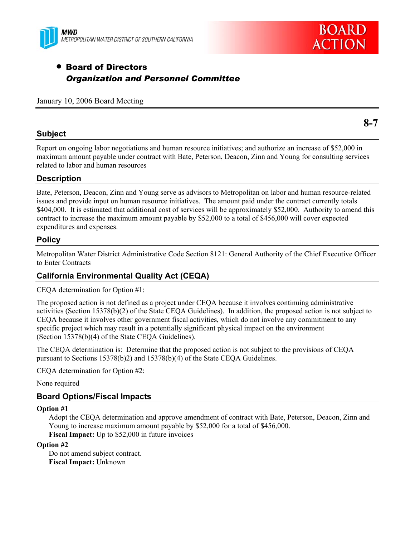



# • Board of Directors *Organization and Personnel Committee*

January 10, 2006 Board Meeting

#### **Subject**

Report on ongoing labor negotiations and human resource initiatives; and authorize an increase of \$52,000 in maximum amount payable under contract with Bate, Peterson, Deacon, Zinn and Young for consulting services related to labor and human resources

#### **Description**

Bate, Peterson, Deacon, Zinn and Young serve as advisors to Metropolitan on labor and human resource-related issues and provide input on human resource initiatives. The amount paid under the contract currently totals \$404,000. It is estimated that additional cost of services will be approximately \$52,000. Authority to amend this contract to increase the maximum amount payable by \$52,000 to a total of \$456,000 will cover expected expenditures and expenses.

#### **Policy**

Metropolitan Water District Administrative Code Section 8121: General Authority of the Chief Executive Officer to Enter Contracts

### **California Environmental Quality Act (CEQA)**

CEQA determination for Option #1:

The proposed action is not defined as a project under CEQA because it involves continuing administrative activities (Section 15378(b)(2) of the State CEQA Guidelines). In addition, the proposed action is not subject to CEQA because it involves other government fiscal activities, which do not involve any commitment to any specific project which may result in a potentially significant physical impact on the environment (Section 15378(b)(4) of the State CEQA Guidelines).

The CEQA determination is: Determine that the proposed action is not subject to the provisions of CEQA pursuant to Sections 15378(b)2) and 15378(b)(4) of the State CEQA Guidelines.

CEQA determination for Option #2:

None required

### **Board Options/Fiscal Impacts**

#### **Option #1**

Adopt the CEQA determination and approve amendment of contract with Bate, Peterson, Deacon, Zinn and Young to increase maximum amount payable by \$52,000 for a total of \$456,000. **Fiscal Impact:** Up to \$52,000 in future invoices

#### **Option #2**

Do not amend subject contract. **Fiscal Impact:** Unknown

**8-7**